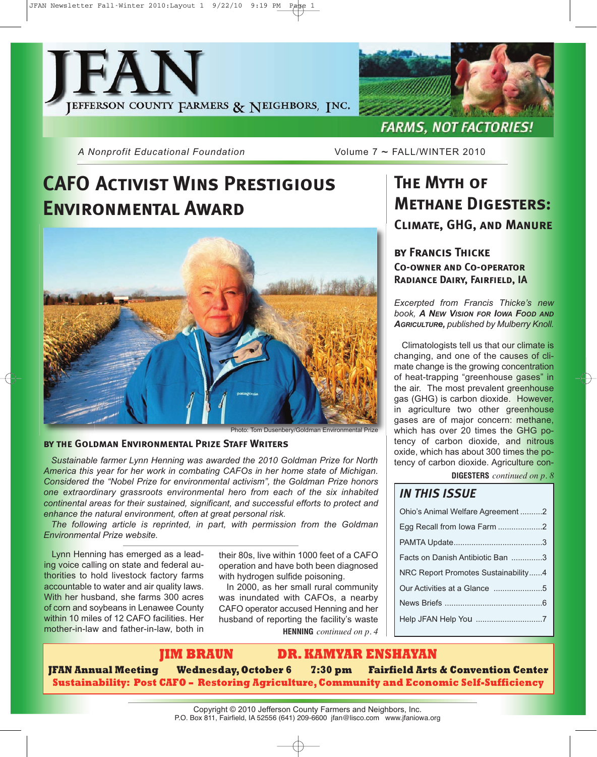



*A Nonprofit Educational Foundation* Volume 7 ~ FALL/WINTER 2010

# **CAFO Activist Wins Prestigious Environmental Award**



### **by the Goldman Environmental Prize Staff Writers**

*Sustainable farmer Lynn Henning was awarded the 2010 Goldman Prize for North America this year for her work in combating CAFOs in her home state of Michigan. Considered the "Nobel Prize for environmental activism", the Goldman Prize honors one extraordinary grassroots environmental hero from each of the six inhabited continental areas for their sustained, significant, and successful efforts to protect and enhance the natural environment, often at great personal risk.*

*The following article is reprinted, in part, with permission from the Goldman Environmental Prize website.*

Lynn Henning has emerged as a leading voice calling on state and federal authorities to hold livestock factory farms accountable to water and air quality laws. With her husband, she farms 300 acres of corn and soybeans in Lenawee County within 10 miles of 12 CAFO facilities. Her mother-in-law and father-in-law, both in

their 80s, live within 1000 feet of a CAFO operation and have both been diagnosed with hydrogen sulfide poisoning.

**HENNING** *continued on p. 4* In 2000, as her small rural community was inundated with CAFOs, a nearby CAFO operator accused Henning and her husband of reporting the facility's waste

# **The Myth of Methane Digesters: Climate, GHG, and Manure**

### **by Francis Thicke Co-owner and Co-operator Radiance Dairy, Fairfield, IA**

*Excerpted from Francis Thicke's new book, A NEW VISION FOR IOWA FOOD AND AGRICULTURe, published by Mulberry Knoll.*

Climatologists tell us that our climate is changing, and one of the causes of climate change is the growing concentration of heat-trapping "greenhouse gases" in the air. The most prevalent greenhouse gas (GHG) is carbon dioxide. However, in agriculture two other greenhouse gases are of major concern: methane, which has over 20 times the GHG potency of carbon dioxide, and nitrous oxide, which has about 300 times the potency of carbon dioxide. Agriculture con-

### **DIGESTERS** *continued on p. 8*

| <b>IN THIS ISSUE</b>                |  |
|-------------------------------------|--|
| Ohio's Animal Welfare Agreement2    |  |
| Egg Recall from Iowa Farm 2         |  |
|                                     |  |
| Facts on Danish Antibiotic Ban 3    |  |
| NRC Report Promotes Sustainability4 |  |
|                                     |  |
|                                     |  |
| Help JFAN Help You 7                |  |

### **JIM BRAUN DR. KAMYAR ENSHAYAN**

**JFAN Annual Meeting Wednesday, October 6 7:30 pm Fairfield Arts & Convention Center Sustainability: Post CAFO – Restoring Agriculture, Community and Economic Self-Sufficiency**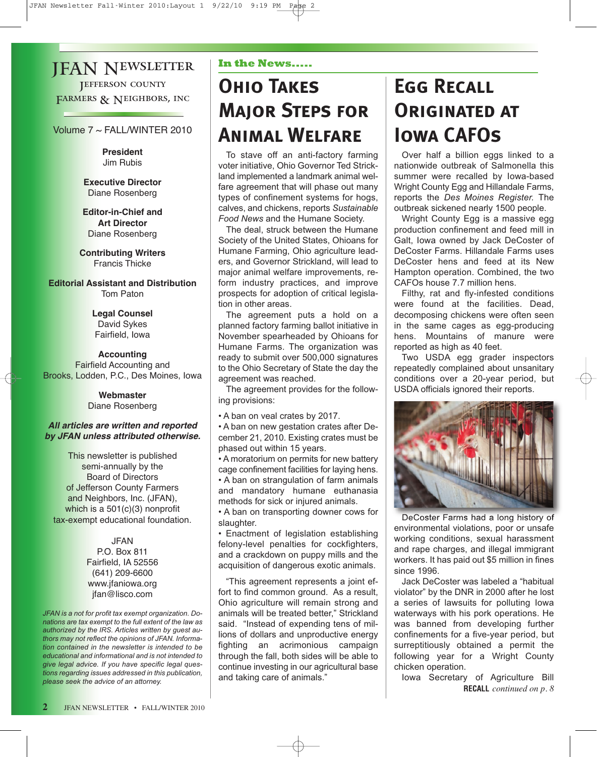### JFAN Newsletter **JEFFERSON COUNTY** FARMERS & NEIGHBORS, INC

Volume 7 ~ FALL/WINTER 2010

**President** Jim Rubis

**Executive Director** Diane Rosenberg

**Editor-in-Chief and Art Director** Diane Rosenberg

**Contributing Writers** Francis Thicke

**Editorial Assistant and Distribution** Tom Paton

> **Legal Counsel** David Sykes Fairfield, Iowa

**Accounting** Fairfield Accounting and Brooks, Lodden, P.C., Des Moines, Iowa

### **Webmaster** Diane Rosenberg

### **All articles are written and reported by JFAN unless attributed otherwise.**

This newsletter is published semi-annually by the Board of Directors of Jefferson County Farmers and Neighbors, Inc. (JFAN), which is a 501(c)(3) nonprofit tax-exempt educational foundation.

> JFAN P.O. Box 811 Fairfield, IA 52556 (641) 209-6600 www.jfaniowa.org jfan@lisco.com

*JFAN is a not for profit tax exempt organization. Donations are tax exempt to the full extent of the law as authorized by the IRS. Articles written by guest authors may not reflect the opinions of JFAN. Information contained in the newsletter is intended to be educational and informational and is not intended to give legal advice. If you have specific legal questions regarding issues addressed in this publication, please seek the advice of an attorney.*

### **In the News.....**

# **Ohio Takes Major Steps for Animal Welfare**

To stave off an anti-factory farming voter initiative, Ohio Governor Ted Strickland implemented a landmark animal welfare agreement that will phase out many types of confinement systems for hogs, calves, and chickens, reports *Sustainable Food News* and the Humane Society.

The deal, struck between the Humane Society of the United States, Ohioans for Humane Farming, Ohio agriculture leaders, and Governor Strickland, will lead to major animal welfare improvements, reform industry practices, and improve prospects for adoption of critical legislation in other areas.

The agreement puts a hold on a planned factory farming ballot initiative in November spearheaded by Ohioans for Humane Farms. The organization was ready to submit over 500,000 signatures to the Ohio Secretary of State the day the agreement was reached.

The agreement provides for the following provisions:

• A ban on veal crates by 2017.

• A ban on new gestation crates after December 21, 2010. Existing crates must be phased out within 15 years.

• A moratorium on permits for new battery cage confinement facilities for laying hens. • A ban on strangulation of farm animals

and mandatory humane euthanasia methods for sick or injured animals.

• A ban on transporting downer cows for slaughter.

• Enactment of legislation establishing felony-level penalties for cockfighters, and a crackdown on puppy mills and the acquisition of dangerous exotic animals.

"This agreement represents a joint effort to find common ground. As a result, Ohio agriculture will remain strong and animals will be treated better," Strickland said. "Instead of expending tens of millions of dollars and unproductive energy fighting an acrimonious campaign through the fall, both sides will be able to continue investing in our agricultural base and taking care of animals."

# **Egg Recall Originated at Iowa CAFOs**

Over half a billion eggs linked to a nationwide outbreak of Salmonella this summer were recalled by Iowa-based Wright County Egg and Hillandale Farms. reports the *Des Moines Register.* The outbreak sickened nearly 1500 people.

Wright County Egg is a massive egg production confinement and feed mill in Galt, Iowa owned by Jack DeCoster of DeCoster Farms. Hillandale Farms uses DeCoster hens and feed at its New Hampton operation. Combined, the two CAFOs house 7.7 million hens.

Filthy, rat and fly-infested conditions were found at the facilities. Dead, decomposing chickens were often seen in the same cages as egg-producing hens. Mountains of manure were reported as high as 40 feet.

Two USDA egg grader inspectors repeatedly complained about unsanitary conditions over a 20-year period, but USDA officials ignored their reports.



DeCoster Farms had a long history of environmental violations, poor or unsafe working conditions, sexual harassment and rape charges, and illegal immigrant workers. It has paid out \$5 million in fines since 1996.

Jack DeCoster was labeled a "habitual violator" by the DNR in 2000 after he lost a series of lawsuits for polluting Iowa waterways with his pork operations. He was banned from developing further confinements for a five-year period, but surreptitiously obtained a permit the following year for a Wright County chicken operation.

Iowa Secretary of Agriculture Bill **RECALL** *continued on p. 8*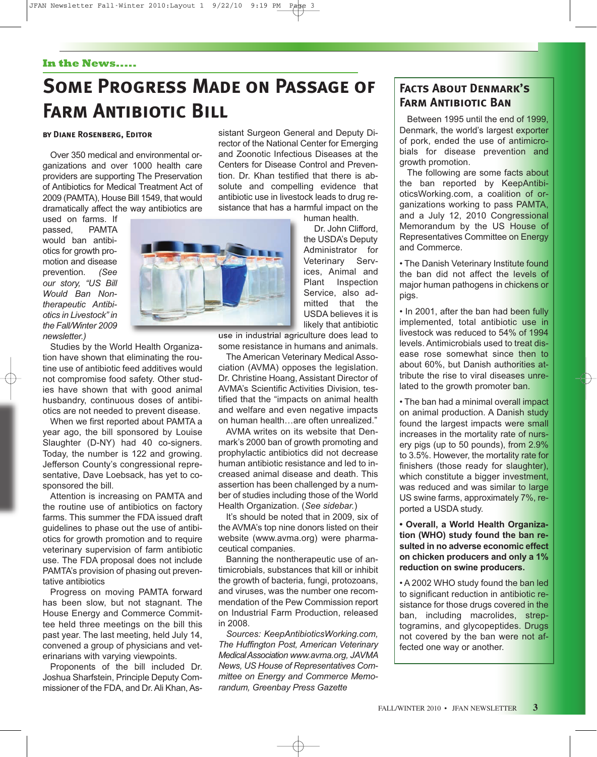### **In the News.....**

# **Some Progress Made on Passage of FARM ANTIBIOTIC BILL**

### **by Diane Rosenberg, Editor**

Over 350 medical and environmental organizations and over 1000 health care providers are supporting The Preservation of Antibiotics for Medical Treatment Act of 2009 (PAMTA), House Bill 1549, that would dramatically affect the way antibiotics are

used on farms. If passed, PAMTA would ban antibiotics for growth promotion and disease prevention. *(See our story, "US Bill Would Ban Nontherapeutic Antibiotics in Livestock" in the Fall/Winter 2009 newsletter.)*

Studies by the World Health Organization have shown that eliminating the routine use of antibiotic feed additives would not compromise food safety. Other studies have shown that with good animal husbandry, continuous doses of antibiotics are not needed to prevent disease.

When we first reported about PAMTA a year ago, the bill sponsored by Louise Slaughter (D-NY) had 40 co-signers. Today, the number is 122 and growing. Jefferson County's congressional representative, Dave Loebsack, has yet to cosponsored the bill.

Attention is increasing on PAMTA and the routine use of antibiotics on factory farms. This summer the FDA issued draft guidelines to phase out the use of antibiotics for growth promotion and to require veterinary supervision of farm antibiotic use. The FDA proposal does not include PAMTA's provision of phasing out preventative antibiotics

Progress on moving PAMTA forward has been slow, but not stagnant. The House Energy and Commerce Committee held three meetings on the bill this past year. The last meeting, held July 14, convened a group of physicians and veterinarians with varying viewpoints.

Proponents of the bill included Dr. Joshua Sharfstein, Principle Deputy Commissioner of the FDA, and Dr. Ali Khan, As-

sistant Surgeon General and Deputy Director of the National Center for Emerging and Zoonotic Infectious Diseases at the Centers for Disease Control and Prevention. Dr. Khan testified that there is absolute and compelling evidence that antibiotic use in livestock leads to drug resistance that has a harmful impact on the

human health. Dr. John Clifford, the USDA's Deputy Administrator for Veterinary Services, Animal and Plant Inspection Service, also admitted that the USDA believes it is likely that antibiotic

use in industrial agriculture does lead to

some resistance in humans and animals. The American Veterinary Medical Asso-

ciation (AVMA) opposes the legislation. Dr. Christine Hoang, Assistant Director of AVMA's Scientific Activities Division, testified that the "impacts on animal health and welfare and even negative impacts on human health…are often unrealized."

AVMA writes on its website that Denmark's 2000 ban of growth promoting and prophylactic antibiotics did not decrease human antibiotic resistance and led to increased animal disease and death. This assertion has been challenged by a number of studies including those of the World Health Organization. (*See sidebar.*)

It's should be noted that in 2009, six of the AVMA's top nine donors listed on their website (www.avma.org) were pharmaceutical companies.

Banning the nontherapeutic use of antimicrobials, substances that kill or inhibit the growth of bacteria, fungi, protozoans, and viruses, was the number one recommendation of the Pew Commission report on Industrial Farm Production, released in 2008.

*Sources: KeepAntibioticsWorking.com, The Huffington Post, American Veterinary MedicalAssociation www.avma.org, JAVMA News, US House of Representatives Committee on Energy and Commerce Memorandum, Greenbay Press Gazette*

### **Facts About Denmark's Farm Antibiotic Ban**

Between 1995 until the end of 1999, Denmark, the world's largest exporter of pork, ended the use of antimicrobials for disease prevention and growth promotion.

The following are some facts about the ban reported by KeepAntibioticsWorking.com, a coalition of organizations working to pass PAMTA, and a July 12, 2010 Congressional Memorandum by the US House of Representatives Committee on Energy and Commerce.

• The Danish Veterinary Institute found the ban did not affect the levels of major human pathogens in chickens or pigs.

• In 2001, after the ban had been fully implemented, total antibiotic use in livestock was reduced to 54% of 1994 levels. Antimicrobials used to treat disease rose somewhat since then to about 60%, but Danish authorities attribute the rise to viral diseases unrelated to the growth promoter ban.

• The ban had a minimal overall impact on animal production. A Danish study found the largest impacts were small increases in the mortality rate of nursery pigs (up to 50 pounds), from 2.9% to 3.5%. However, the mortality rate for finishers (those ready for slaughter), which constitute a bigger investment, was reduced and was similar to large US swine farms, approximately 7%, reported a USDA study.

**• Overall, a World Health Organization (WHO) study found the ban resulted in no adverse economic effect on chicken producers and only a 1% reduction on swine producers.**

• A 2002 WHO study found the ban led to significant reduction in antibiotic resistance for those drugs covered in the ban, including macrolides, streptogramins, and glycopeptides. Drugs not covered by the ban were not affected one way or another.

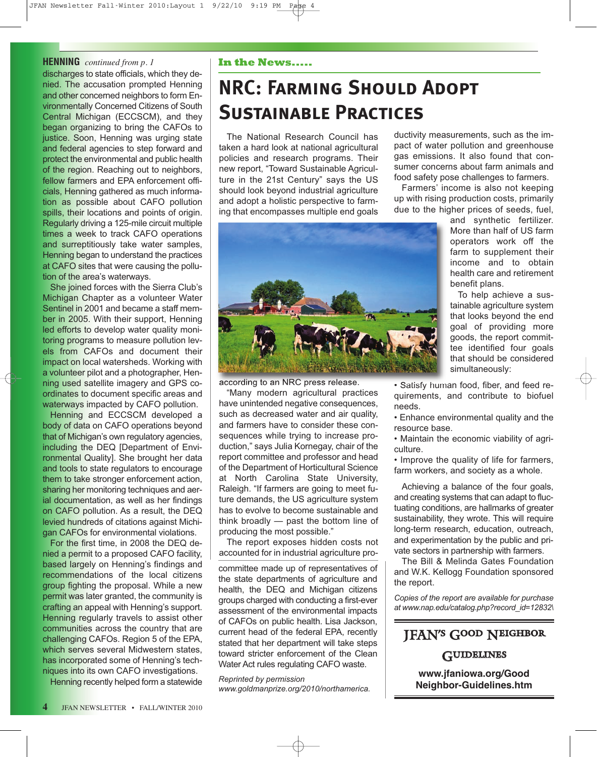### **HENNING** *continued from p. 1* **In the News.....**

discharges to state officials, which they denied. The accusation prompted Henning and other concerned neighbors to form Environmentally Concerned Citizens of South Central Michigan (ECCSCM), and they began organizing to bring the CAFOs to justice. Soon, Henning was urging state and federal agencies to step forward and protect the environmental and public health of the region. Reaching out to neighbors, fellow farmers and EPA enforcement officials, Henning gathered as much information as possible about CAFO pollution spills, their locations and points of origin. Regularly driving a 125-mile circuit multiple times a week to track CAFO operations and surreptitiously take water samples, Henning began to understand the practices at CAFO sites that were causing the pollution of the area's waterways.

She joined forces with the Sierra Club's Michigan Chapter as a volunteer Water Sentinel in 2001 and became a staff member in 2005. With their support, Henning led efforts to develop water quality monitoring programs to measure pollution levels from CAFOs and document their impact on local watersheds. Working with a volunteer pilot and a photographer, Henning used satellite imagery and GPS coordinates to document specific areas and waterways impacted by CAFO pollution.

Henning and ECCSCM developed a body of data on CAFO operations beyond that of Michigan's own regulatory agencies, including the DEQ [Department of Environmental Quality]. She brought her data and tools to state regulators to encourage them to take stronger enforcement action, sharing her monitoring techniques and aerial documentation, as well as her findings on CAFO pollution. As a result, the DEQ levied hundreds of citations against Michigan CAFOs for environmental violations.

For the first time, in 2008 the DEQ denied a permit to a proposed CAFO facility, based largely on Henning's findings and recommendations of the local citizens group fighting the proposal. While a new permit was later granted, the community is crafting an appeal with Henning's support. Henning regularly travels to assist other communities across the country that are challenging CAFOs. Region 5 of the EPA, which serves several Midwestern states, has incorporated some of Henning's techniques into its own CAFO investigations.

Henning recently helped form a statewide

# **NRC: Farming Should Adopt Sustainable Practices**

The National Research Council has taken a hard look at national agricultural policies and research programs. Their new report, "Toward Sustainable Agriculture in the 21st Century" says the US should look beyond industrial agriculture and adopt a holistic perspective to farming that encompasses multiple end goals ductivity measurements, such as the impact of water pollution and greenhouse gas emissions. It also found that consumer concerns about farm animals and food safety pose challenges to farmers.

Farmers' income is also not keeping up with rising production costs, primarily due to the higher prices of seeds, fuel,



according to an NRC press release.

"Many modern agricultural practices have unintended negative consequences, such as decreased water and air quality, and farmers have to consider these consequences while trying to increase production," says Julia Kornegay, chair of the report committee and professor and head of the Department of Horticultural Science at North Carolina State University, Raleigh. "If farmers are going to meet future demands, the US agriculture system has to evolve to become sustainable and think broadly — past the bottom line of producing the most possible."

The report exposes hidden costs not accounted for in industrial agriculture pro-

committee made up of representatives of the state departments of agriculture and health, the DEQ and Michigan citizens groups charged with conducting a first-ever assessment of the environmental impacts of CAFOs on public health. Lisa Jackson, current head of the federal EPA, recently stated that her department will take steps toward stricter enforcement of the Clean Water Act rules regulating CAFO waste.

*Reprinted by permission www.goldmanprize.org/2010/northamerica.* and synthetic fertilizer. More than half of US farm operators work off the farm to supplement their income and to obtain health care and retirement benefit plans.

To help achieve a sustainable agriculture system that looks beyond the end goal of providing more goods, the report committee identified four goals that should be considered simultaneously:

- Satisfy human food, fiber, and feed requirements, and contribute to biofuel needs.
- Enhance environmental quality and the resource base.
- Maintain the economic viability of agriculture.
- Improve the quality of life for farmers, farm workers, and society as a whole.

Achieving a balance of the four goals, and creating systems that can adapt to fluctuating conditions, are hallmarks of greater sustainability, they wrote. This will require long-term research, education, outreach, and experimentation by the public and private sectors in partnership with farmers.

The Bill & Melinda Gates Foundation and W.K. Kellogg Foundation sponsored the report.

*Copies of the report are available for purchase at www.nap.edu/catalog.php?record\_id=12832\*

# JFAN's Good Neighbor

### **GUIDELINES**

**www.jfaniowa.org/Good Neighbor-Guidelines.htm**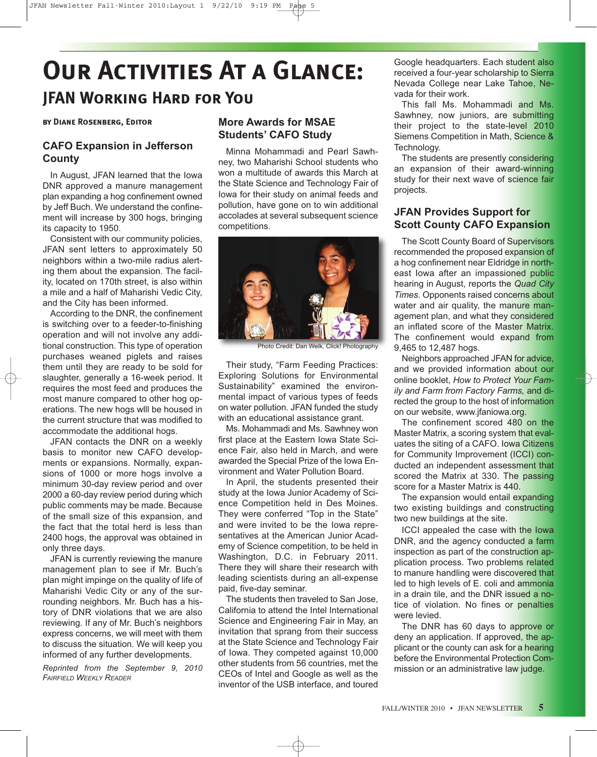# **Our Activities At a Glance: JFAN Working Hard for You**

### **by Diane Rosenberg, Editor**

### **CAFO Expansion in Jefferson County**

In August, JFAN learned that the Iowa DNR approved a manure management plan expanding a hog confinement owned by Jeff Buch. We understand the confinement will increase by 300 hogs, bringing its capacity to 1950.

Consistent with our community policies, JFAN sent letters to approximately 50 neighbors within a two-mile radius alerting them about the expansion. The facility, located on 170th street, is also within a mile and a half of Maharishi Vedic City, and the City has been informed.

According to the DNR, the confinement is switching over to a feeder-to-finishing operation and will not involve any additional construction. This type of operation purchases weaned piglets and raises them until they are ready to be sold for slaughter, generally a 16-week period. It requires the most feed and produces the most manure compared to other hog operations. The new hogs wlll be housed in the current structure that was modified to accommodate the additional hogs.

JFAN contacts the DNR on a weekly basis to monitor new CAFO developments or expansions. Normally, expansions of 1000 or more hogs involve a minimum 30-day review period and over 2000 a 60-day review period during which public comments may be made. Because of the small size of this expansion, and the fact that the total herd is less than 2400 hogs, the approval was obtained in only three days.

JFAN is currently reviewing the manure management plan to see if Mr. Buch's plan might impinge on the quality of life of Maharishi Vedic City or any of the surrounding neighbors. Mr. Buch has a history of DNR violations that we are also reviewing. If any of Mr. Buch's neighbors express concerns, we will meet with them to discuss the situation. We will keep you informed of any further developments.

*Reprinted from the September 9, 2010 FAIRFIELD WEEKLY READER*

### **More Awards for MSAE Students' CAFO Study**

Minna Mohammadi and Pearl Sawhney, two Maharishi School students who won a multitude of awards this March at the State Science and Technology Fair of Iowa for their study on animal feeds and pollution, have gone on to win additional accolades at several subsequent science competitions.



Photo Credit: Dan Welk, Click! Photography

Their study, "Farm Feeding Practices: Exploring Solutions for Environmental Sustainability" examined the environmental impact of various types of feeds on water pollution. JFAN funded the study with an educational assistance grant.

Ms. Mohammadi and Ms. Sawhney won first place at the Eastern Iowa State Science Fair, also held in March, and were awarded the Special Prize of the Iowa Environment and Water Pollution Board.

In April, the students presented their study at the Iowa Junior Academy of Science Competition held in Des Moines. They were conferred "Top in the State" and were invited to be the Iowa representatives at the American Junior Academy of Science competition, to be held in Washington, D.C. in February 2011. There they will share their research with leading scientists during an all-expense paid, five-day seminar.

The students then traveled to San Jose, California to attend the Intel International Science and Engineering Fair in May, an invitation that sprang from their success at the State Science and Technology Fair of Iowa. They competed against 10,000 other students from 56 countries, met the CEOs of Intel and Google as well as the inventor of the USB interface, and toured

Google headquarters. Each student also received a four-year scholarship to Sierra Nevada College near Lake Tahoe, Nevada for their work.

This fall Ms. Mohammadi and Ms. Sawhney, now juniors, are submitting their project to the state-level 2010 Siemens Competition in Math, Science & Technology.

The students are presently considering an expansion of their award-winning study for their next wave of science fair projects.

### **JFAN Provides Support for Scott County CAFO Expansion**

The Scott County Board of Supervisors recommended the proposed expansion of a hog confinement near Eldridge in northeast Iowa after an impassioned public hearing in August, reports the *Quad City Times*. Opponents raised concerns about water and air quality, the manure management plan, and what they considered an inflated score of the Master Matrix. The confinement would expand from 9,465 to 12,487 hogs.

Neighbors approached JFAN for advice, and we provided information about our online booklet, *How to Protect Your Family and Farm from Factory Farms,* and directed the group to the host of information on our website, www.jfaniowa.org.

The confinement scored 480 on the Master Matrix, a scoring system that evaluates the siting of a CAFO. Iowa Citizens for Community Improvement (ICCI) conducted an independent assessment that scored the Matrix at 330. The passing score for a Master Matrix is 440.

The expansion would entail expanding two existing buildings and constructing two new buildings at the site.

ICCI appealed the case with the Iowa DNR, and the agency conducted a farm inspection as part of the construction application process. Two problems related to manure handling were discovered that led to high levels of E. coli and ammonia in a drain tile, and the DNR issued a notice of violation. No fines or penalties were levied.

The DNR has 60 days to approve or deny an application. If approved, the applicant or the county can ask for a hearing before the Environmental Protection Commission or an administrative law judge.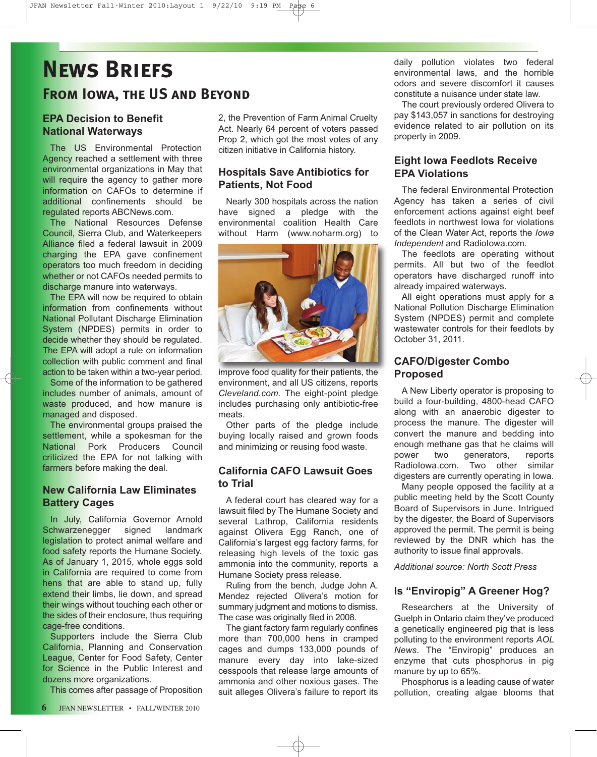# **News Briefs From Iowa, the US and Beyond**

### **EPA Decision to Benefit National Waterways**

The US Environmental Protection Agency reached a settlement with three environmental organizations in May that will require the agency to gather more information on CAFOs to determine if additional confinements should be regulated reports ABCNews.com.

The National Resources Defense Council, Sierra Club, and Waterkeepers Alliance filed a federal lawsuit in 2009 charging the EPA gave confinement operators too much freedom in deciding whether or not CAFOs needed permits to discharge manure into waterways.

The EPA will now be required to obtain information from confinements without National Pollutant Discharge Elimination System (NPDES) permits in order to decide whether they should be regulated. The EPA will adopt a rule on information collection with public comment and final action to be taken within a two-year period.

Some of the information to be gathered includes number of animals, amount of waste produced, and how manure is managed and disposed.

The environmental groups praised the settlement, while a spokesman for the National Pork Producers Council criticized the EPA for not talking with farmers before making the deal.

### **New California Law Eliminates Battery Cages**

In July, California Governor Arnold Schwarzenegger signed landmark legislation to protect animal welfare and food safety reports the Humane Society. As of January 1, 2015, whole eggs sold in California are required to come from hens that are able to stand up, fully extend their limbs, lie down, and spread their wings without touching each other or the sides of their enclosure, thus requiring cage-free conditions.

Supporters include the Sierra Club California, Planning and Conservation League, Center for Food Safety, Center for Science in the Public Interest and dozens more organizations.

This comes after passage of Proposition

2, the Prevention of Farm Animal Cruelty Act. Nearly 64 percent of voters passed Prop 2, which got the most votes of any citizen initiative in California history.

### **Hospitals Save Antibiotics for Patients, Not Food**

Nearly 300 hospitals across the nation have signed a pledge with the environmental coalition Health Care without Harm (www.noharm.org) to



improve food quality for their patients, the environment, and all US citizens, reports *Cleveland.com.* The eight-point pledge includes purchasing only antibiotic-free meats.

Other parts of the pledge include buying locally raised and grown foods and minimizing or reusing food waste.

### **California CAFO Lawsuit Goes to Trial**

A federal court has cleared way for a lawsuit filed by The Humane Society and several Lathrop, California residents against Olivera Egg Ranch, one of California's largest egg factory farms, for releasing high levels of the toxic gas ammonia into the community, reports a Humane Society press release.

Ruling from the bench, Judge John A. Mendez rejected Olivera's motion for summary judgment and motions to dismiss. The case was originally filed in 2008.

The giant factory farm regularly confines more than 700,000 hens in cramped cages and dumps 133,000 pounds of manure every day into lake-sized cesspools that release large amounts of ammonia and other noxious gases. The suit alleges Olivera's failure to report its daily pollution violates two federal environmental laws, and the horrible odors and severe discomfort it causes constitute a nuisance under state law.

The court previously ordered Olivera to pay \$143,057 in sanctions for destroying evidence related to air pollution on its property in 2009.

### **Eight Iowa Feedlots Receive EPA Violations**

The federal Environmental Protection Agency has taken a series of civil enforcement actions against eight beef feedlots in northwest Iowa for violations of the Clean Water Act, reports the *Iowa Independent* and RadioIowa.com*.* 

The feedlots are operating without permits. All but two of the feedlot operators have discharged runoff into already impaired waterways.

All eight operations must apply for a National Pollution Discharge Elimination System (NPDES) permit and complete wastewater controls for their feedlots by October 31, 2011.

### **CAFO/Digester Combo Proposed**

A New Liberty operator is proposing to build a four-building, 4800-head CAFO along with an anaerobic digester to process the manure. The digester will convert the manure and bedding into enough methane gas that he claims will power two generators, reports RadioIowa.com. Two other similar digesters are currently operating in Iowa.

Many people opposed the facility at a public meeting held by the Scott County Board of Supervisors in June. Intrigued by the digester, the Board of Supervisors approved the permit. The permit is being reviewed by the DNR which has the authority to issue final approvals.

*Additional source: North Scott Press*

### **Is "Enviropig" A Greener Hog?**

Researchers at the University of Guelph in Ontario claim they've produced a genetically engineered pig that is less polluting to the environment reports *AOL News*. The "Enviropig" produces an enzyme that cuts phosphorus in pig manure by up to 65%.

Phosphorus is a leading cause of water pollution, creating algae blooms that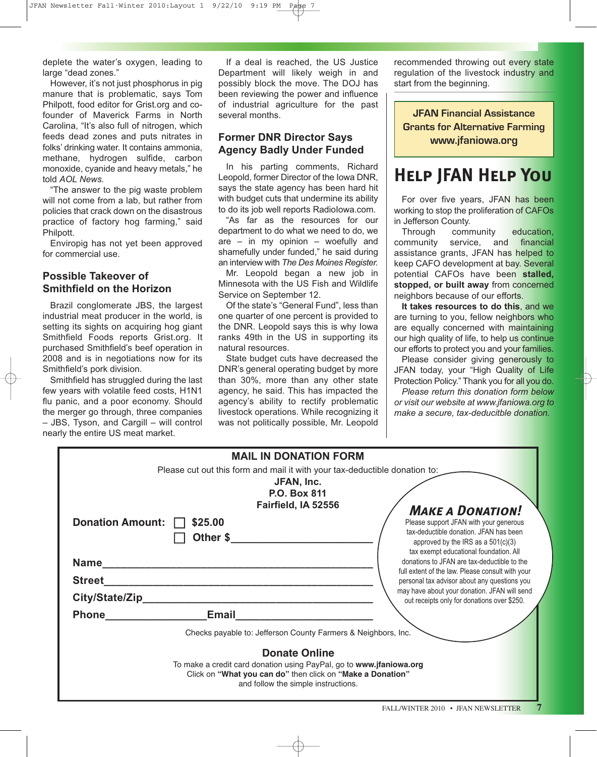deplete the water's oxygen, leading to large "dead zones."

However, it's not just phosphorus in pig manure that is problematic, says Tom Philpott, food editor for Grist.org and cofounder of Maverick Farms in North Carolina, "It's also full of nitrogen, which feeds dead zones and puts nitrates in folks' drinking water. It contains ammonia, methane, hydrogen sulfide, carbon monoxide, cyanide and heavy metals," he told *AOL News.*

The answer to the pig waste problem will not come from a lab, but rather from policies that crack down on the disastrous practice of factory hog farming," said Philpott.

Enviropig has not yet been approved for commercial use.

### **Possible Takeover of Smithfield on the Horizon**

Brazil conglomerate JBS, the largest industrial meat producer in the world, is setting its sights on acquiring hog giant Smithfield Foods reports Grist.org. It purchased Smithfield's beef operation in 2008 and is in negotiations now for its Smithfield's pork division.

Smithfield has struggled during the last few years with volatile feed costs, H1N1 flu panic, and a poor economy. Should the merger go through, three companies – JBS, Tyson, and Cargill – will control nearly the entire US meat market.

If a deal is reached, the US Justice Department will likely weigh in and possibly block the move. The DOJ has been reviewing the power and influence of industrial agriculture for the past several months.

### **Former DNR Director Says Agency Badly Under Funded**

In his parting comments, Richard Leopold, former Director of the Iowa DNR, says the state agency has been hard hit with budget cuts that undermine its ability to do its job well reports RadioIowa.com.

"As far as the resources for our department to do what we need to do, we are – in my opinion – woefully and shamefully under funded," he said during an interview with *The Des Moines Register.*

Mr. Leopold began a new job in Minnesota with the US Fish and Wildlife Service on September 12.

Of the state's "General Fund", less than one quarter of one percent is provided to the DNR. Leopold says this is why Iowa ranks 49th in the US in supporting its natural resources.

State budget cuts have decreased the DNR's general operating budget by more than 30%, more than any other state agency, he said. This has impacted the agency's ability to rectify problematic livestock operations. While recognizing it was not politically possible, Mr. Leopold

recommended throwing out every state regulation of the livestock industry and start from the beginning.

**JFAN Financial Assistance Grants for Alternative Farming www.jfaniowa.org**

## **Help JFAN Help You**

For over five years, JFAN has been working to stop the proliferation of CAFOs in Jefferson County.

Through community education, community service, and financial assistance grants, JFAN has helped to keep CAFO development at bay. Several potential CAFOs have been **stalled, stopped, or built away** from concerned neighbors because of our efforts.

**It takes resources to do this**, and we are turning to you, fellow neighbors who are equally concerned with maintaining our high quality of life, to help us continue our efforts to protect you and your families.

Please consider giving generously to JFAN today, your "High Quality of Life Protection Policy." Thank you for all you do.

*Please return this donation form below or visit our website at www.jfaniowa.org to make a secure, tax-deducitble donation.* 

| <b>MAIL IN DONATION FORM</b>                                               |                                                                                                                                   |                                                                                       |  |  |
|----------------------------------------------------------------------------|-----------------------------------------------------------------------------------------------------------------------------------|---------------------------------------------------------------------------------------|--|--|
| Please cut out this form and mail it with your tax-deductible donation to: |                                                                                                                                   |                                                                                       |  |  |
|                                                                            | JFAN, Inc.                                                                                                                        |                                                                                       |  |  |
|                                                                            | <b>P.O. Box 811</b>                                                                                                               |                                                                                       |  |  |
|                                                                            | Fairfield, IA 52556                                                                                                               |                                                                                       |  |  |
|                                                                            |                                                                                                                                   | <b>MAKE A DONATION!</b>                                                               |  |  |
| Donation Amount:                                                           | \$25.00                                                                                                                           | Please support JFAN with your generous                                                |  |  |
|                                                                            | Other \$                                                                                                                          | tax-deductible donation. JFAN has been                                                |  |  |
|                                                                            |                                                                                                                                   | approved by the IRS as a $501(c)(3)$                                                  |  |  |
|                                                                            |                                                                                                                                   | tax exempt educational foundation. All<br>donations to JFAN are tax-deductible to the |  |  |
| <b>Name</b>                                                                |                                                                                                                                   | full extent of the law. Please consult with your                                      |  |  |
| <b>Street</b>                                                              |                                                                                                                                   | personal tax advisor about any questions you                                          |  |  |
|                                                                            |                                                                                                                                   | may have about your donation. JFAN will send                                          |  |  |
| City/State/Zip                                                             |                                                                                                                                   | out receipts only for donations over \$250.                                           |  |  |
| <b>Phone</b>                                                               | <b>Email</b> Email                                                                                                                |                                                                                       |  |  |
|                                                                            |                                                                                                                                   |                                                                                       |  |  |
|                                                                            | Checks payable to: Jefferson County Farmers & Neighbors, Inc.                                                                     |                                                                                       |  |  |
| <b>Donate Online</b>                                                       |                                                                                                                                   |                                                                                       |  |  |
|                                                                            |                                                                                                                                   |                                                                                       |  |  |
|                                                                            | To make a credit card donation using PayPal, go to www.jfaniowa.org<br>Click on "What you can do" then click on "Make a Donation" |                                                                                       |  |  |
| and follow the simple instructions.                                        |                                                                                                                                   |                                                                                       |  |  |
|                                                                            |                                                                                                                                   |                                                                                       |  |  |
|                                                                            |                                                                                                                                   |                                                                                       |  |  |